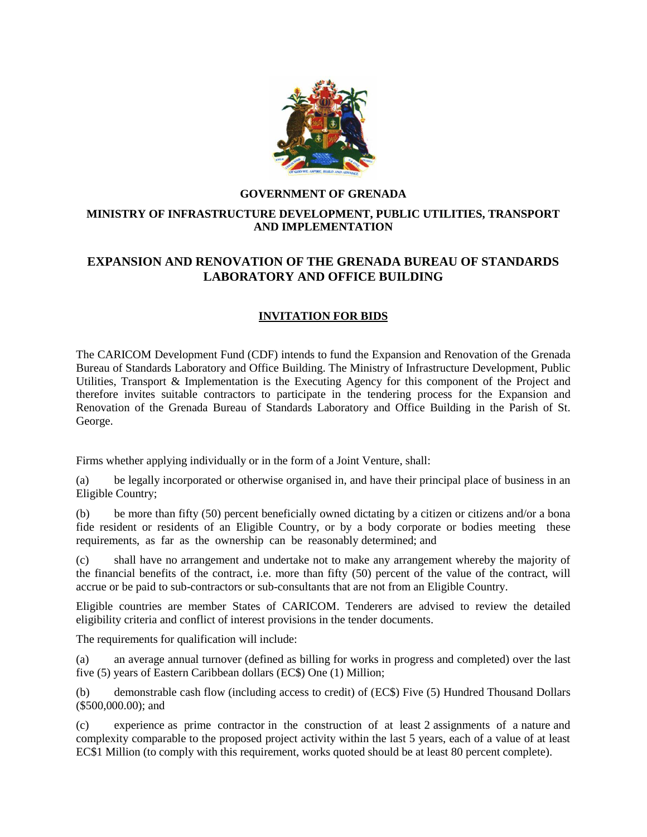

### **GOVERNMENT OF GRENADA**

## **MINISTRY OF INFRASTRUCTURE DEVELOPMENT, PUBLIC UTILITIES, TRANSPORT AND IMPLEMENTATION**

# **EXPANSION AND RENOVATION OF THE GRENADA BUREAU OF STANDARDS LABORATORY AND OFFICE BUILDING**

### **INVITATION FOR BIDS**

The CARICOM Development Fund (CDF) intends to fund the Expansion and Renovation of the Grenada Bureau of Standards Laboratory and Office Building. The Ministry of Infrastructure Development, Public Utilities, Transport & Implementation is the Executing Agency for this component of the Project and therefore invites suitable contractors to participate in the tendering process for the Expansion and Renovation of the Grenada Bureau of Standards Laboratory and Office Building in the Parish of St. George.

Firms whether applying individually or in the form of a Joint Venture, shall:

(a) be legally incorporated or otherwise organised in, and have their principal place of business in an Eligible Country;

(b) be more than fifty (50) percent beneficially owned dictating by a citizen or citizens and/or a bona fide resident or residents of an Eligible Country, or by a body corporate or bodies meeting these requirements, as far as the ownership can be reasonably determined; and

(c) shall have no arrangement and undertake not to make any arrangement whereby the majority of the financial benefits of the contract, i.e. more than fifty (50) percent of the value of the contract, will accrue or be paid to sub-contractors or sub-consultants that are not from an Eligible Country.

Eligible countries are member States of CARICOM. Tenderers are advised to review the detailed eligibility criteria and conflict of interest provisions in the tender documents.

The requirements for qualification will include:

(a) an average annual turnover (defined as billing for works in progress and completed) over the last five (5) years of Eastern Caribbean dollars (EC\$) One (1) Million;

(b) demonstrable cash flow (including access to credit) of (EC\$) Five (5) Hundred Thousand Dollars (\$500,000.00); and

(c) experience as prime contractor in the construction of at least 2 assignments of a nature and complexity comparable to the proposed project activity within the last 5 years, each of a value of at least EC\$1 Million (to comply with this requirement, works quoted should be at least 80 percent complete).